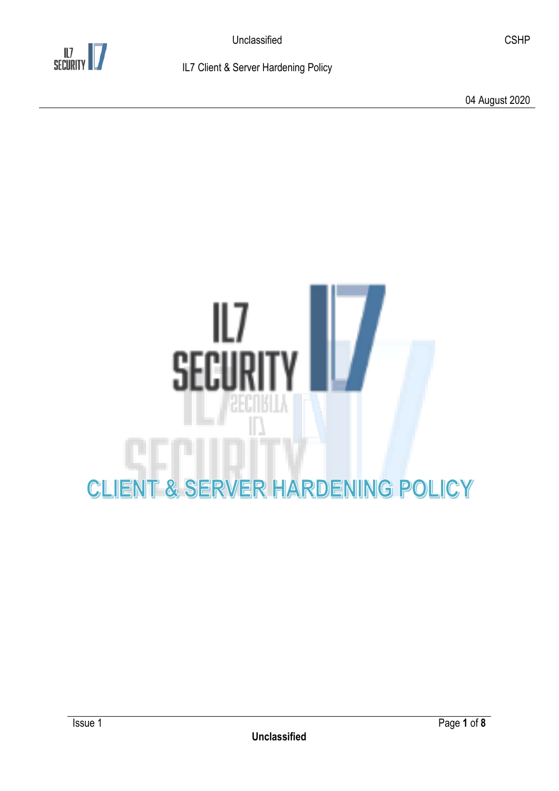

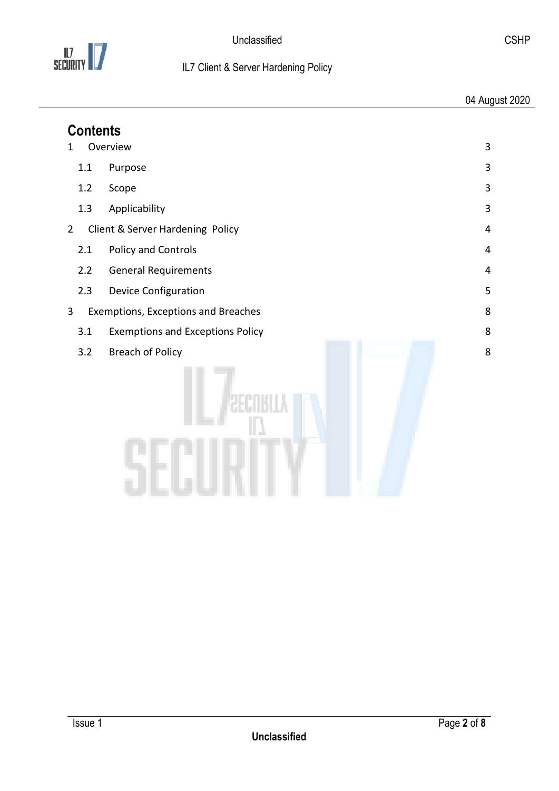

| <b>Contents</b> |                                         |   |  |
|-----------------|-----------------------------------------|---|--|
| 1               | Overview                                | 3 |  |
| 1.1             | Purpose                                 | 3 |  |
| 1.2             | Scope                                   | 3 |  |
| 1.3             | Applicability                           | 3 |  |
| $\overline{2}$  | Client & Server Hardening Policy        | 4 |  |
| 2.1             | Policy and Controls                     | 4 |  |
| 2.2             | <b>General Requirements</b>             | 4 |  |
| 2.3             | <b>Device Configuration</b>             | 5 |  |
| 3               | Exemptions, Exceptions and Breaches     | 8 |  |
| 3.1             | <b>Exemptions and Exceptions Policy</b> | 8 |  |
| 3.2             | <b>Breach of Policy</b>                 | 8 |  |
|                 |                                         |   |  |
|                 |                                         |   |  |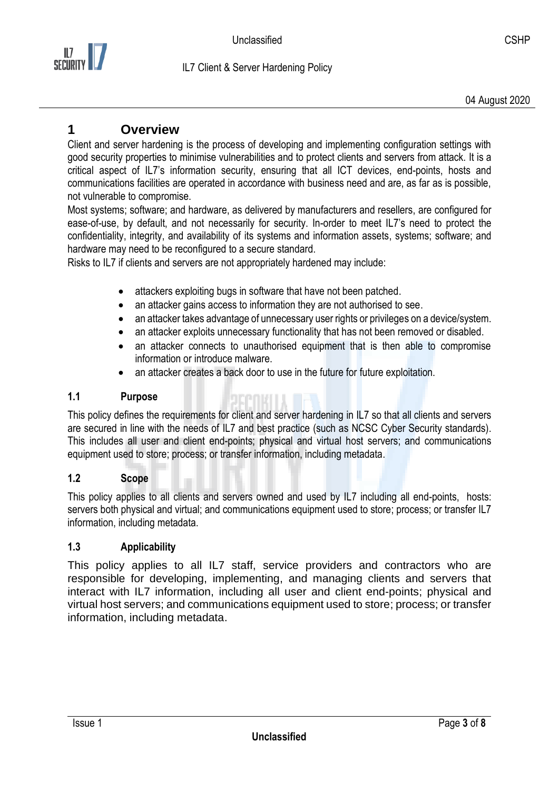

# <span id="page-2-0"></span>**1 Overview**

Client and server hardening is the process of developing and implementing configuration settings with good security properties to minimise vulnerabilities and to protect clients and servers from attack. It is a critical aspect of IL7's information security, ensuring that all ICT devices, end-points, hosts and communications facilities are operated in accordance with business need and are, as far as is possible, not vulnerable to compromise.

Most systems; software; and hardware, as delivered by manufacturers and resellers, are configured for ease-of-use, by default, and not necessarily for security. In-order to meet IL7's need to protect the confidentiality, integrity, and availability of its systems and information assets, systems; software; and hardware may need to be reconfigured to a secure standard.

Risks to IL7 if clients and servers are not appropriately hardened may include:

- attackers exploiting bugs in software that have not been patched.
- an attacker gains access to information they are not authorised to see.
- an attacker takes advantage of unnecessary user rights or privileges on a device/system.
- an attacker exploits unnecessary functionality that has not been removed or disabled.
- an attacker connects to unauthorised equipment that is then able to compromise information or introduce malware.
- an attacker creates a back door to use in the future for future exploitation.

### <span id="page-2-1"></span>**1.1 Purpose**

This policy defines the requirements for client and server hardening in IL7 so that all clients and servers are secured in line with the needs of IL7 and best practice (such as NCSC Cyber Security standards). This includes all user and client end-points; physical and virtual host servers; and communications equipment used to store; process; or transfer information, including metadata.

### <span id="page-2-2"></span>**1.2 Scope**

This policy applies to all clients and servers owned and used by IL7 including all end-points, hosts: servers both physical and virtual; and communications equipment used to store; process; or transfer IL7 information, including metadata.

### <span id="page-2-3"></span>**1.3 Applicability**

This policy applies to all IL7 staff, service providers and contractors who are responsible for developing, implementing, and managing clients and servers that interact with IL7 information, including all user and client end-points; physical and virtual host servers; and communications equipment used to store; process; or transfer information, including metadata.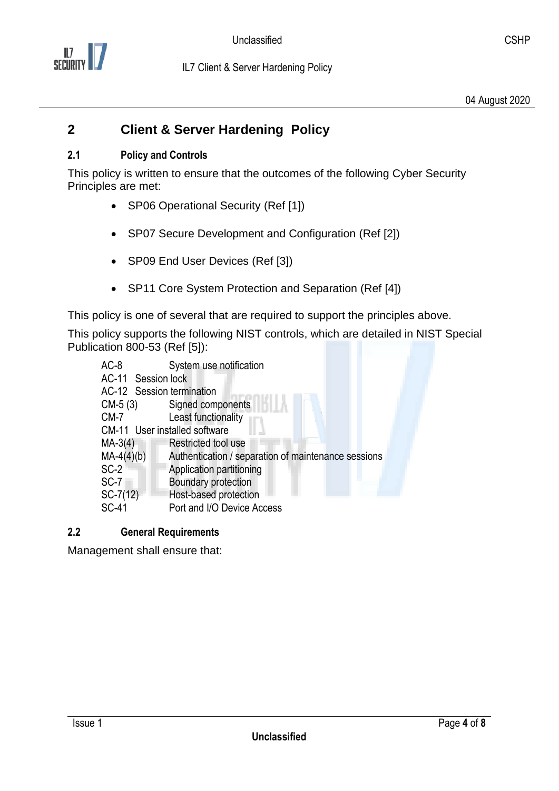

#### <span id="page-3-1"></span><span id="page-3-0"></span>**2.1 Policy and Controls**

This policy is written to ensure that the outcomes of the following Cyber Security Principles are met:

- SP06 Operational Security (Ref [1])
- SP07 Secure Development and Configuration (Ref [2])
- SP09 End User Devices (Ref [3])
- SP11 Core System Protection and Separation (Ref [4])

This policy is one of several that are required to support the principles above.

This policy supports the following NIST controls, which are detailed in NIST Special Publication 800-53 (Ref [5]):

| $AC-8$                        | System use notification                             |  |  |  |
|-------------------------------|-----------------------------------------------------|--|--|--|
| AC-11 Session lock            |                                                     |  |  |  |
| AC-12 Session termination     |                                                     |  |  |  |
| $CM-5(3)$                     | Signed components                                   |  |  |  |
| $CM-7$                        | Least functionality                                 |  |  |  |
| CM-11 User installed software |                                                     |  |  |  |
| $MA-3(4)$                     | Restricted tool use                                 |  |  |  |
| $MA-4(4)(b)$                  | Authentication / separation of maintenance sessions |  |  |  |
| $SC-2$                        | Application partitioning                            |  |  |  |
| SC-7                          | Boundary protection                                 |  |  |  |
| $SC-7(12)$                    | Host-based protection                               |  |  |  |
| <b>SC-41</b>                  | Port and I/O Device Access                          |  |  |  |

### <span id="page-3-2"></span>**2.2 General Requirements**

Management shall ensure that: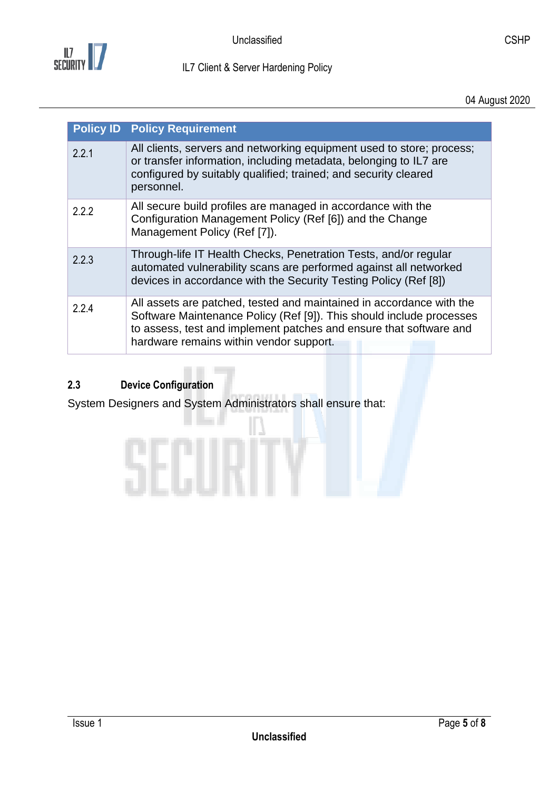

04 August 2020

|       | <b>Policy ID Policy Requirement</b>                                                                                                                                                                                                                           |
|-------|---------------------------------------------------------------------------------------------------------------------------------------------------------------------------------------------------------------------------------------------------------------|
| 2.2.1 | All clients, servers and networking equipment used to store; process;<br>or transfer information, including metadata, belonging to IL7 are<br>configured by suitably qualified; trained; and security cleared<br>personnel.                                   |
| 2.2.2 | All secure build profiles are managed in accordance with the<br>Configuration Management Policy (Ref [6]) and the Change<br>Management Policy (Ref [7]).                                                                                                      |
| 2.2.3 | Through-life IT Health Checks, Penetration Tests, and/or regular<br>automated vulnerability scans are performed against all networked<br>devices in accordance with the Security Testing Policy (Ref [8])                                                     |
| 2.2.4 | All assets are patched, tested and maintained in accordance with the<br>Software Maintenance Policy (Ref [9]). This should include processes<br>to assess, test and implement patches and ensure that software and<br>hardware remains within vendor support. |

# <span id="page-4-0"></span>**2.3 Device Configuration**

System Designers and System Administrators shall ensure that: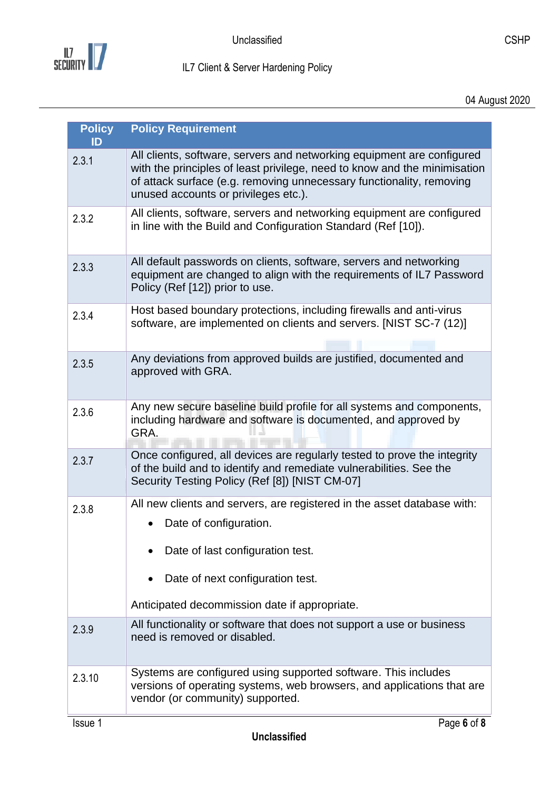

| <b>Policy</b><br>ID | <b>Policy Requirement</b>                                                                                                                                                                                                                                           |
|---------------------|---------------------------------------------------------------------------------------------------------------------------------------------------------------------------------------------------------------------------------------------------------------------|
| 2.3.1               | All clients, software, servers and networking equipment are configured<br>with the principles of least privilege, need to know and the minimisation<br>of attack surface (e.g. removing unnecessary functionality, removing<br>unused accounts or privileges etc.). |
| 2.3.2               | All clients, software, servers and networking equipment are configured<br>in line with the Build and Configuration Standard (Ref [10]).                                                                                                                             |
| 2.3.3               | All default passwords on clients, software, servers and networking<br>equipment are changed to align with the requirements of IL7 Password<br>Policy (Ref [12]) prior to use.                                                                                       |
| 2.3.4               | Host based boundary protections, including firewalls and anti-virus<br>software, are implemented on clients and servers. [NIST SC-7 (12)]                                                                                                                           |
| 2.3.5               | Any deviations from approved builds are justified, documented and<br>approved with GRA.                                                                                                                                                                             |
| 2.3.6               | Any new secure baseline build profile for all systems and components,<br>including hardware and software is documented, and approved by<br>GRA.                                                                                                                     |
| 2.3.7               | Once configured, all devices are regularly tested to prove the integrity<br>of the build and to identify and remediate vulnerabilities. See the<br>Security Testing Policy (Ref [8]) [NIST CM-07]                                                                   |
| 2.3.8               | All new clients and servers, are registered in the asset database with:<br>Date of configuration.                                                                                                                                                                   |
|                     | Date of last configuration test.<br>Date of next configuration test.                                                                                                                                                                                                |
|                     | Anticipated decommission date if appropriate.                                                                                                                                                                                                                       |
| 2.3.9               | All functionality or software that does not support a use or business<br>need is removed or disabled.                                                                                                                                                               |
| 2.3.10              | Systems are configured using supported software. This includes<br>versions of operating systems, web browsers, and applications that are<br>vendor (or community) supported.                                                                                        |
| Issue 1             | Page 6 of 8                                                                                                                                                                                                                                                         |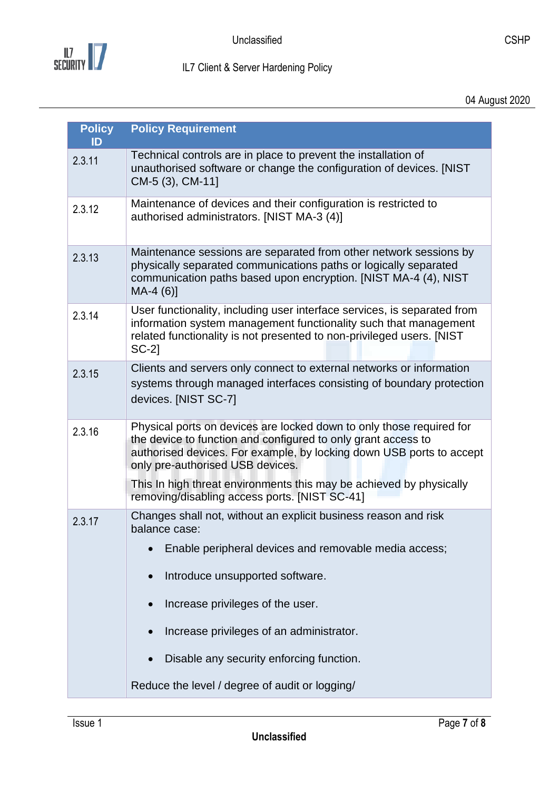

| <b>Policy</b><br>ID | <b>Policy Requirement</b>                                                                                                                                                                                                                         |
|---------------------|---------------------------------------------------------------------------------------------------------------------------------------------------------------------------------------------------------------------------------------------------|
| 2.3.11              | Technical controls are in place to prevent the installation of<br>unauthorised software or change the configuration of devices. [NIST<br>CM-5 (3), CM-11]                                                                                         |
| 2.3.12              | Maintenance of devices and their configuration is restricted to<br>authorised administrators. [NIST MA-3 (4)]                                                                                                                                     |
| 2.3.13              | Maintenance sessions are separated from other network sessions by<br>physically separated communications paths or logically separated<br>communication paths based upon encryption. [NIST MA-4 (4), NIST<br>$MA-4(6)$ ]                           |
| 2.3.14              | User functionality, including user interface services, is separated from<br>information system management functionality such that management<br>related functionality is not presented to non-privileged users. [NIST<br>$SC-2$                   |
| 2.3.15              | Clients and servers only connect to external networks or information<br>systems through managed interfaces consisting of boundary protection<br>devices. [NIST SC-7]                                                                              |
| 2.3.16              | Physical ports on devices are locked down to only those required for<br>the device to function and configured to only grant access to<br>authorised devices. For example, by locking down USB ports to accept<br>only pre-authorised USB devices. |
|                     | This In high threat environments this may be achieved by physically<br>removing/disabling access ports. [NIST SC-41]                                                                                                                              |
| 2.3.17              | Changes shall not, without an explicit business reason and risk<br>balance case:<br>Enable peripheral devices and removable media access;                                                                                                         |
|                     | Introduce unsupported software.                                                                                                                                                                                                                   |
|                     | Increase privileges of the user.                                                                                                                                                                                                                  |
|                     | Increase privileges of an administrator.                                                                                                                                                                                                          |
|                     | Disable any security enforcing function.                                                                                                                                                                                                          |
|                     | Reduce the level / degree of audit or logging/                                                                                                                                                                                                    |